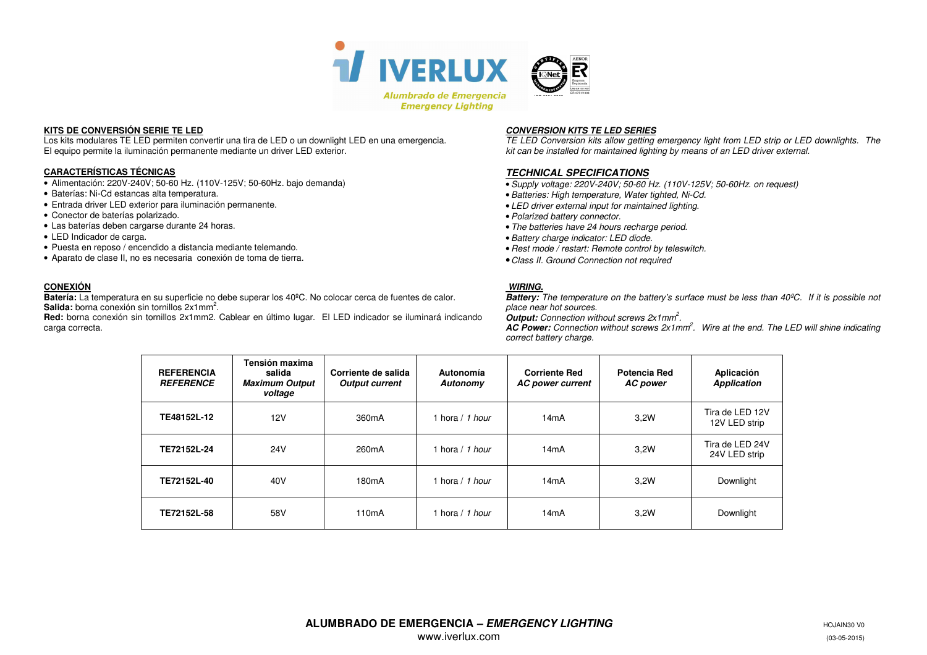

### **KITS DE CONVERSIÓN SERIE TE LED**

 Los kits modulares TE LED permiten convertir una tira de LED o un downlight LED en una emergencia. El equipo permite la iluminación permanente mediante un driver LED exterior.

# **CARACTERÍSTICAS TÉCNICAS**

- Alimentación: 220V-240V; 50-60 Hz. (110V-125V; 50-60Hz. bajo demanda)
- Baterías: Ni-Cd estancas alta temperatura.
- Entrada driver LED exterior para iluminación permanente.
- Conector de baterías polarizado.
- Las baterías deben cargarse durante 24 horas.
- LED Indicador de carga.
- Puesta en reposo / encendido a distancia mediante telemando.
- Aparato de clase II, no es necesaria conexión de toma de tierra.

# **CONEXIÓN**

 **Batería:** La temperatura en su superficie no debe superar los 40ºC. No colocar cerca de fuentes de calor. Salida: borna conexión sin tornillos 2x1mm<sup>2</sup>.

 **Red:** borna conexión sin tornillos 2x1mm2. Cablear en último lugar. El LED indicador se iluminará indicando carga correcta.

 **CONVERSION KITS TE LED SERIES** TE LED Conversion kits allow getting emergency light from LED strip or LED downlights. The kit can be installed for maintained lighting by means of an LED driver external.

### **TECHNICAL SPECIFICATIONS**

•Supply voltage: 220V-240V; 50-60 Hz. (110V-125V; 50-60Hz. on request)

- •Batteries: High temperature, Water tighted, Ni-Cd.
- LED driver external input for maintained lighting.
- •Polarized battery connector.
- The batteries have 24 hours recharge period.
- •Battery charge indicator: LED diode.
- Rest mode / restart: Remote control by teleswitch.
- •Class II. Ground Connection not required

### **WIRING.**

 **Battery:** The temperature on the battery's surface must be less than 40ºC. If it is possible not place near hot sources.

**Output:** Connection without screws 2x1mm<sup>2</sup>.

**AC Power:** Connection without screws 2x1mm<sup>2</sup>. Wire at the end. The LED will shine indicating correct battery charge.

| <b>REFERENCIA</b><br><b>REFERENCE</b> | Tensión maxima<br>salida<br><b>Maximum Output</b><br>voltage | Corriente de salida<br><b>Output current</b> | Autonomía<br>Autonomy | <b>Corriente Red</b><br>AC power current | Potencia Red<br><b>AC</b> power | Aplicación<br><b>Application</b> |
|---------------------------------------|--------------------------------------------------------------|----------------------------------------------|-----------------------|------------------------------------------|---------------------------------|----------------------------------|
| TE48152L-12                           | 12V                                                          | 360mA                                        | hora / 1 hour         | 14mA                                     | 3,2W                            | Tira de LED 12V<br>12V LED strip |
| TE72152L-24                           | 24V                                                          | 260 <sub>m</sub> A                           | hora / 1 hour         | 14mA                                     | 3.2W                            | Tira de LED 24V<br>24V LED strip |
| TE72152L-40                           | 40V                                                          | 180 <sub>m</sub> A                           | hora / 1 hour         | 14mA                                     | 3.2W                            | Downlight                        |
| TE72152L-58                           | 58V                                                          | 110 <sub>m</sub> A                           | hora / 1 hour         | 14mA                                     | 3.2W                            | Downlight                        |